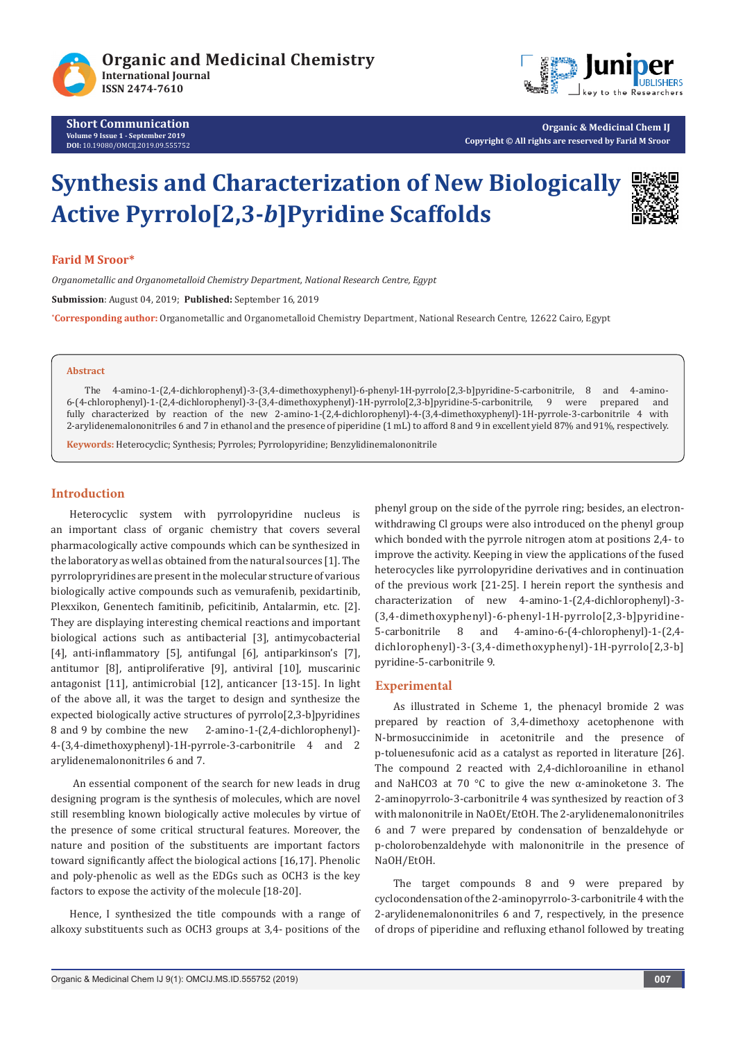



**Organic & Medicinal Chem IJ Copyright © All rights are reserved by Farid M Sroor**

# **Synthesis and Characterization of New Biologically Active Pyrrolo[2,3-***b***]Pyridine Scaffolds**



### **Farid M Sroor\***

*Organometallic and Organometalloid Chemistry Department, National Research Centre, Egypt*

**Submission**: August 04, 2019; **Published:** September 16, 2019

**\* Corresponding author:** Organometallic and Organometalloid Chemistry Department, National Research Centre, 12622 Cairo, Egypt

#### **Abstract**

The 4-amino-1-(2,4-dichlorophenyl)-3-(3,4-dimethoxyphenyl)-6-phenyl-1H-pyrrolo[2,3-b]pyridine-5-carbonitrile, 8 and 4-amino-6-(4-chlorophenyl)-1-(2,4-dichlorophenyl)-3-(3,4-dimethoxyphenyl)-1H-pyrrolo[2,3-b]pyridine-5-carbonitrile, 9 fully characterized by reaction of the new 2-amino-1-(2,4-dichlorophenyl)-4-(3,4-dimethoxyphenyl)-1H-pyrrole-3-carbonitrile 4 with 2-arylidenemalononitriles 6 and 7 in ethanol and the presence of piperidine (1 mL) to afford 8 and 9 in excellent yield 87% and 91%, respectively.

**Keywords:** Heterocyclic; Synthesis; Pyrroles; Pyrrolopyridine; Benzylidinemalononitrile

### **Introduction**

Heterocyclic system with pyrrolopyridine nucleus is an important class of organic chemistry that covers several pharmacologically active compounds which can be synthesized in the laboratory as well as obtained from the natural sources [1]. The pyrrolopryridines are present in the molecular structure of various biologically active compounds such as vemurafenib, pexidartinib, Plexxikon, Genentech famitinib, peficitinib, Antalarmin, etc. [2]. They are displaying interesting chemical reactions and important biological actions such as antibacterial [3], antimycobacterial [4], anti-inflammatory [5], antifungal [6], antiparkinson's [7], antitumor [8], antiproliferative [9], antiviral [10], muscarinic antagonist [11], antimicrobial [12], anticancer [13-15]. In light of the above all, it was the target to design and synthesize the expected biologically active structures of pyrrolo[2,3-b]pyridines 8 and 9 by combine the new 2-amino-1-(2,4-dichlorophenyl)- 4-(3,4-dimethoxyphenyl)-1H-pyrrole-3-carbonitrile 4 and 2 arylidenemalononitriles 6 and 7.

 An essential component of the search for new leads in drug designing program is the synthesis of molecules, which are novel still resembling known biologically active molecules by virtue of the presence of some critical structural features. Moreover, the nature and position of the substituents are important factors toward significantly affect the biological actions [16,17]. Phenolic and poly-phenolic as well as the EDGs such as OCH3 is the key factors to expose the activity of the molecule [18-20].

Hence, I synthesized the title compounds with a range of alkoxy substituents such as OCH3 groups at 3,4- positions of the

phenyl group on the side of the pyrrole ring; besides, an electronwithdrawing Cl groups were also introduced on the phenyl group which bonded with the pyrrole nitrogen atom at positions 2,4- to improve the activity. Keeping in view the applications of the fused heterocycles like pyrrolopyridine derivatives and in continuation of the previous work [21-25]. I herein report the synthesis and characterization of new 4-amino-1-(2,4-dichlorophenyl)-3- (3,4-dimethoxyphenyl)-6-phenyl-1H-pyrrolo[2,3-b]pyridine-<br>5-carbonitrile 8 and 4-amino-6-(4-chlorophenyl)-1-(2.4-5-carbonitrile 8 and 4-amino-6-(4-chlorophenyl)-1-(2,4 dichlorophenyl)-3-(3,4-dimethoxyphenyl)-1H-pyrrolo[2,3-b] pyridine-5-carbonitrile 9.

#### **Experimental**

As illustrated in Scheme 1, the phenacyl bromide 2 was prepared by reaction of 3,4-dimethoxy acetophenone with N-brmosuccinimide in acetonitrile and the presence of p-toluenesufonic acid as a catalyst as reported in literature [26]. The compound 2 reacted with 2,4-dichloroaniline in ethanol and NaHCO3 at 70 °C to give the new α-aminoketone 3. The 2-aminopyrrolo-3-carbonitrile 4 was synthesized by reaction of 3 with malononitrile in NaOEt/EtOH. The 2-arylidenemalononitriles 6 and 7 were prepared by condensation of benzaldehyde or p-cholorobenzaldehyde with malononitrile in the presence of NaOH/EtOH.

The target compounds 8 and 9 were prepared by cyclocondensation of the 2-aminopyrrolo-3-carbonitrile 4 with the 2-arylidenemalononitriles 6 and 7, respectively, in the presence of drops of piperidine and refluxing ethanol followed by treating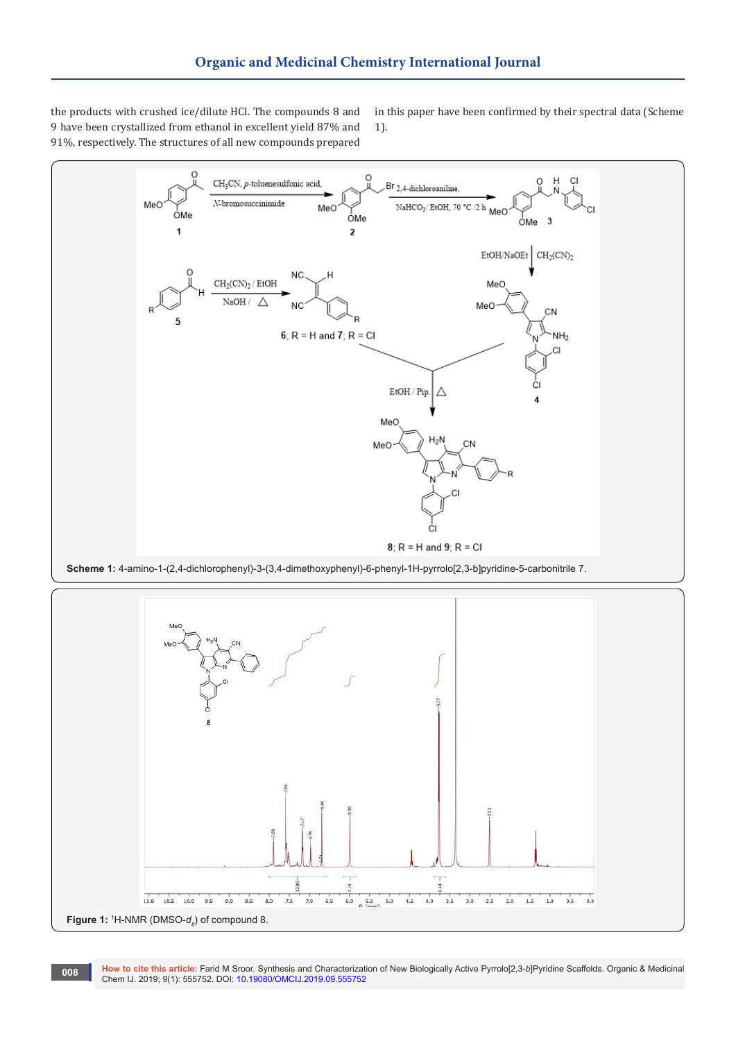the products with crushed ice/dilute HCl. The compounds 8 and 9 have been crystallized from ethanol in excellent yield 87% and 91%, respectively. The structures of all new compounds prepared

in this paper have been confirmed by their spectral data (Scheme 1).





**How to cite this article:** Farid M Sroor. Synthesis and Characterization of New Biologically Active Pyrrolo[2,3-*b*]Pyridine Scaffolds. Organic & Medicinal **Chem IJ. 2019; 9(1): 555752. DOI[: 10.19080/OMCIJ.2019.09.555752](http://dx.doi.org/10.19080/OMCIJ.2019.09.555752)<br>Chem IJ. 2019; 9(1): 555752. DOI: 10.19080/OMCIJ.2019.09.555752**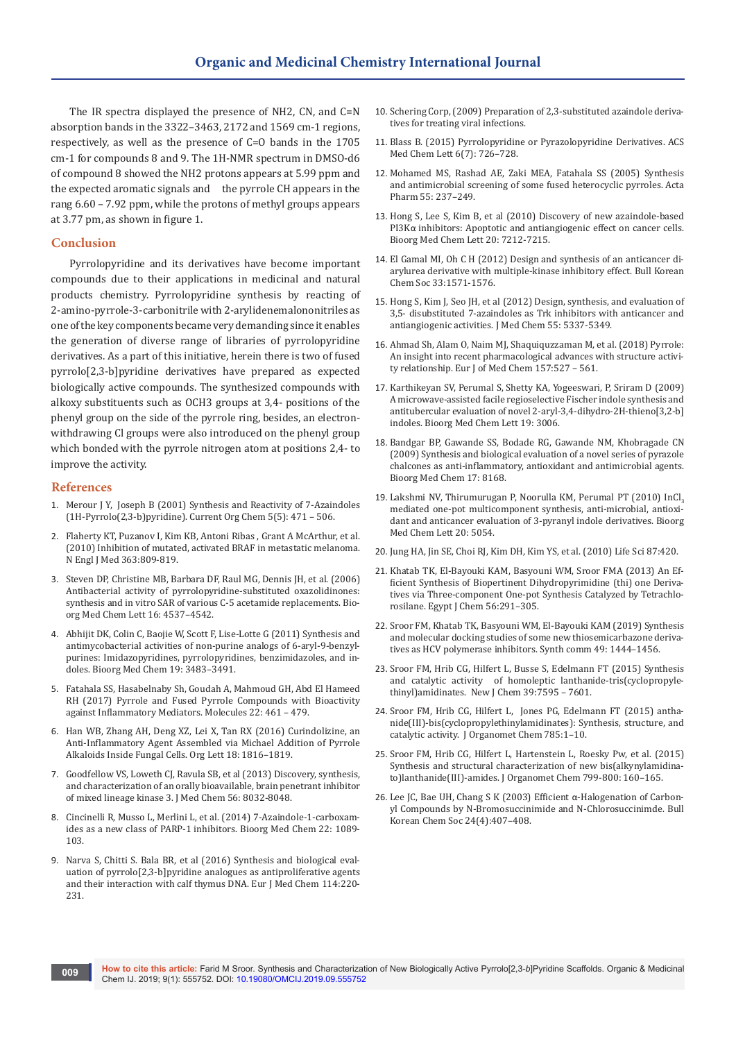The IR spectra displayed the presence of NH2, CN, and C=N absorption bands in the 3322–3463, 2172 and 1569 cm-1 regions, respectively, as well as the presence of C=O bands in the 1705 cm-1 for compounds 8 and 9. The 1H-NMR spectrum in DMSO-d6 of compound 8 showed the NH2 protons appears at 5.99 ppm and the expected aromatic signals and the pyrrole CH appears in the rang 6.60 – 7.92 ppm, while the protons of methyl groups appears at 3.77 pm, as shown in figure 1.

#### **Conclusion**

Pyrrolopyridine and its derivatives have become important compounds due to their applications in medicinal and natural products chemistry. Pyrrolopyridine synthesis by reacting of 2-amino-pyrrole-3-carbonitrile with 2-arylidenemalononitriles as one of the key components became very demanding since it enables the generation of diverse range of libraries of pyrrolopyridine derivatives. As a part of this initiative, herein there is two of fused pyrrolo[2,3-b]pyridine derivatives have prepared as expected biologically active compounds. The synthesized compounds with alkoxy substituents such as OCH3 groups at 3,4- positions of the phenyl group on the side of the pyrrole ring, besides, an electronwithdrawing Cl groups were also introduced on the phenyl group which bonded with the pyrrole nitrogen atom at positions 2,4- to improve the activity.

#### **References**

- 1. [Merour J Y, Joseph B \(2001\) Synthesis and Reactivity of 7-Azaindoles](https://www.eurekaselect.com/65061/article/synthesis-and-reactivity-7-azaindoles-1h-pyrrolo23-bpyridine)  [\(1H-Pyrrolo\(2,3-b\)pyridine\). Current Org Chem 5\(5\): 471 – 506.](https://www.eurekaselect.com/65061/article/synthesis-and-reactivity-7-azaindoles-1h-pyrrolo23-bpyridine)
- 2. [Flaherty KT, Puzanov I, Kim KB, Antoni Ribas , Grant A McArthur, et al.](https://www.nejm.org/doi/full/10.1056/NEJMoa1002011)  [\(2010\) Inhibition of mutated, activated BRAF in metastatic melanoma.](https://www.nejm.org/doi/full/10.1056/NEJMoa1002011)  [N Engl J Med 363:809-819.](https://www.nejm.org/doi/full/10.1056/NEJMoa1002011)
- 3. [Steven DP, Christine MB, Barbara DF, Raul MG, Dennis JH, et al. \(2006\)](https://www.ncbi.nlm.nih.gov/pubmed/16806921)  [Antibacterial activity of pyrrolopyridine-substituted oxazolidinones:](https://www.ncbi.nlm.nih.gov/pubmed/16806921)  [synthesis and in vitro SAR of various C-5 acetamide replacements. Bio](https://www.ncbi.nlm.nih.gov/pubmed/16806921)[org Med Chem Lett 16: 4537–4542.](https://www.ncbi.nlm.nih.gov/pubmed/16806921)
- 4. [Abhijit DK, Colin C, Baojie W, Scott F, Lise-Lotte G \(2011\) Synthesis and](https://www.sciencedirect.com/science/article/pii/S0968089611002914)  [antimycobacterial activities of non-purine analogs of 6-aryl-9-benzyl](https://www.sciencedirect.com/science/article/pii/S0968089611002914)[purines: Imidazopyridines, pyrrolopyridines, benzimidazoles, and in](https://www.sciencedirect.com/science/article/pii/S0968089611002914)[doles. Bioorg Med Chem 19: 3483–3491.](https://www.sciencedirect.com/science/article/pii/S0968089611002914)
- 5. [Fatahala SS, Hasabelnaby Sh, Goudah A, Mahmoud GH, Abd El Hameed](https://www.ncbi.nlm.nih.gov/pubmed/28304349)  [RH \(2017\) Pyrrole and Fused Pyrrole Compounds with Bioactivity](https://www.ncbi.nlm.nih.gov/pubmed/28304349)  [against Inflammatory Mediators. Molecules 22: 461 – 479.](https://www.ncbi.nlm.nih.gov/pubmed/28304349)
- 6. [Han WB, Zhang AH, Deng XZ, Lei X, Tan RX \(2016\) Curindolizine, an](https://pubs.acs.org/doi/10.1021/acs.orglett.6b00549)  [Anti-Inflammatory Agent Assembled via Michael Addition of Pyrrole](https://pubs.acs.org/doi/10.1021/acs.orglett.6b00549)  [Alkaloids Inside Fungal Cells. Org Lett 18: 1816–1819.](https://pubs.acs.org/doi/10.1021/acs.orglett.6b00549)
- 7. [Goodfellow VS, Loweth CJ, Ravula SB, et al \(2013\) Discovery, synthesis,](https://www.ncbi.nlm.nih.gov/pubmed/24044867)  [and characterization of an orally bioavailable, brain penetrant inhibitor](https://www.ncbi.nlm.nih.gov/pubmed/24044867)  [of mixed lineage kinase 3. J Med Chem 56: 8032-8048.](https://www.ncbi.nlm.nih.gov/pubmed/24044867)
- 8. [Cincinelli R, Musso L, Merlini L, et al. \(2014\) 7-Azaindole-1-carboxam](https://www.ncbi.nlm.nih.gov/pubmed/24398383)[ides as a new class of PARP-1 inhibitors. Bioorg Med Chem 22: 1089-](https://www.ncbi.nlm.nih.gov/pubmed/24398383) [103.](https://www.ncbi.nlm.nih.gov/pubmed/24398383)
- 9. [Narva S, Chitti S. Bala BR, et al \(2016\) Synthesis and biological eval](https://www.ncbi.nlm.nih.gov/pubmed/26994690)[uation of pyrrolo\[2,3-b\]pyridine analogues as antiproliferative agents](https://www.ncbi.nlm.nih.gov/pubmed/26994690)  [and their interaction with calf thymus DNA. Eur J Med Chem 114:220-](https://www.ncbi.nlm.nih.gov/pubmed/26994690) [231.](https://www.ncbi.nlm.nih.gov/pubmed/26994690)
- 10. Schering Corp, (2009) Preparation of 2,3-substituted azaindole derivatives for treating viral infections.
- 11. [Blass B. \(2015\) Pyrrolopyridine or Pyrazolopyridine Derivatives. ACS](https://www.ncbi.nlm.nih.gov/pmc/articles/PMC4499835/)  [Med Chem Lett 6\(7\): 726–728.](https://www.ncbi.nlm.nih.gov/pmc/articles/PMC4499835/)
- 12. [Mohamed MS, Rashad AE, Zaki MEA, Fatahala SS \(2005\) Synthesis](https://www.ncbi.nlm.nih.gov/pubmed/16375835)  [and antimicrobial screening of some fused heterocyclic pyrroles. Acta](https://www.ncbi.nlm.nih.gov/pubmed/16375835)  [Pharm 55: 237–249.](https://www.ncbi.nlm.nih.gov/pubmed/16375835)
- 13. [Hong S, Lee S, Kim B, et al \(2010\) Discovery of new azaindole-based](https://www.ncbi.nlm.nih.gov/pubmed/21067921)  PI3Kα [inhibitors: Apoptotic and antiangiogenic effect on cancer cells.](https://www.ncbi.nlm.nih.gov/pubmed/21067921)  [Bioorg Med Chem Lett 20: 7212-7215.](https://www.ncbi.nlm.nih.gov/pubmed/21067921)
- 14. [El Gamal MI, Oh C H \(2012\) Design and synthesis of an anticancer di](https://app.dimensions.ai/details/publication/pub.1046101741?and_facet_journal=jour.1017111)[arylurea derivative with multiple-kinase inhibitory effect. Bull Korean](https://app.dimensions.ai/details/publication/pub.1046101741?and_facet_journal=jour.1017111)  [Chem Soc 33:1571-1576.](https://app.dimensions.ai/details/publication/pub.1046101741?and_facet_journal=jour.1017111)
- 15. [Hong S, Kim J, Seo JH, et al \(2012\) Design, synthesis, and evaluation of](https://pubs.acs.org/doi/10.1021/jm3002982)  [3,5- disubstituted 7-azaindoles as Trk inhibitors with anticancer and](https://pubs.acs.org/doi/10.1021/jm3002982)  [antiangiogenic activities. J Med Chem 55: 5337-5349.](https://pubs.acs.org/doi/10.1021/jm3002982)
- 16. [Ahmad Sh, Alam O, Naim MJ, Shaquiquzzaman M, et al. \(2018\) Pyrrole:](https://www.ncbi.nlm.nih.gov/pubmed/30119011)  [An insight into recent pharmacological advances with structure activi](https://www.ncbi.nlm.nih.gov/pubmed/30119011)[ty relationship. Eur J of Med Chem 157:527 – 561.](https://www.ncbi.nlm.nih.gov/pubmed/30119011)
- 17. [Karthikeyan SV, Perumal S, Shetty KA, Yogeeswari, P, Sriram D \(2009\)](https://www.ncbi.nlm.nih.gov/pubmed/19403307)  [A microwave-assisted facile regioselective Fischer indole synthesis and](https://www.ncbi.nlm.nih.gov/pubmed/19403307)  [antitubercular evaluation of novel 2-aryl-3,4-dihydro-2H-thieno\[3,2-b\]](https://www.ncbi.nlm.nih.gov/pubmed/19403307) [indoles. Bioorg Med Chem Lett 19: 3006.](https://www.ncbi.nlm.nih.gov/pubmed/19403307)
- 18. [Bandgar BP, Gawande SS, Bodade RG, Gawande NM, Khobragade CN](https://www.ncbi.nlm.nih.gov/pubmed/19896853)  [\(2009\) Synthesis and biological evaluation of a novel series of pyrazole](https://www.ncbi.nlm.nih.gov/pubmed/19896853)  [chalcones as anti-inflammatory, antioxidant and antimicrobial agents.](https://www.ncbi.nlm.nih.gov/pubmed/19896853)  [Bioorg Med Chem 17: 8168.](https://www.ncbi.nlm.nih.gov/pubmed/19896853)
- 19. Lakshmi NV, Thirumurugan P, Noorulla KM, Perumal PT (2010) InCl<sub>2</sub> [mediated one-pot multicomponent synthesis, anti-microbial, antioxi](file:///E:/Prudhvi/OMCIJ.MS.ID.555751/OMCIJ-SC-19-755_W/ncbi.nlm.nih.gov/pubmed/20675130)[dant and anticancer evaluation of 3-pyranyl indole derivatives. Bioorg](file:///E:/Prudhvi/OMCIJ.MS.ID.555751/OMCIJ-SC-19-755_W/ncbi.nlm.nih.gov/pubmed/20675130)  [Med Chem Lett 20: 5054.](file:///E:/Prudhvi/OMCIJ.MS.ID.555751/OMCIJ-SC-19-755_W/ncbi.nlm.nih.gov/pubmed/20675130)
- 20. Jung HA, Jin SE, Choi RJ, Kim DH, Kim YS, et al. (2010) Life Sci 87:420.
- 21. Khatab TK, El-Bayouki KAM, Basyouni WM, Sroor FMA (2013) An Efficient Synthesis of Biopertinent Dihydropyrimidine (thi) one Derivatives via Three-component One-pot Synthesis Catalyzed by Tetrachlorosilane. Egypt J Chem 56:291–305.
- 22. [Sroor FM, Khatab TK, Basyouni WM, El-Bayouki KAM \(2019\) Synthesis](file:///E:/Prudhvi/OMCIJ.MS.ID.555751/OMCIJ-SC-19-755_W/tandfonline.com/doi/abs/10.1080/00397911.2019.1605443?journalCode=lsyc20)  [and molecular docking studies of some new thiosemicarbazone deriva](file:///E:/Prudhvi/OMCIJ.MS.ID.555751/OMCIJ-SC-19-755_W/tandfonline.com/doi/abs/10.1080/00397911.2019.1605443?journalCode=lsyc20)[tives as HCV polymerase inhibitors. Synth comm 49: 1444–1456.](file:///E:/Prudhvi/OMCIJ.MS.ID.555751/OMCIJ-SC-19-755_W/tandfonline.com/doi/abs/10.1080/00397911.2019.1605443?journalCode=lsyc20)
- 23. Sroor FM, Hrib CG, Hilfert L, Busse S, Edelmann FT (2015) Synthesis and catalytic activity of homoleptic lanthanide-tris(cyclopropylethinyl)amidinates. New J Chem 39:7595 – 7601.
- 24. [Sroor FM, Hrib CG, Hilfert L, Jones PG, Edelmann FT \(2015\) antha](https://www.sciencedirect.com/science/article/pii/S0022328X15000960)[nide\(III\)-bis\(cyclopropylethinylamidinates\): Synthesis, structure, and](https://www.sciencedirect.com/science/article/pii/S0022328X15000960)  [catalytic activity. J Organomet Chem 785:1–10.](https://www.sciencedirect.com/science/article/pii/S0022328X15000960)
- 25. [Sroor FM, Hrib CG, Hilfert L, Hartenstein L, Roesky Pw, et al. \(2015\)](https://www.sciencedirect.com/science/article/pii/S0022328X15301534)  [Synthesis and structural characterization of new bis\(alkynylamidina](https://www.sciencedirect.com/science/article/pii/S0022328X15301534)[to\)lanthanide\(III\)-amides. J Organomet Chem 799-800: 160–165.](https://www.sciencedirect.com/science/article/pii/S0022328X15301534)
- 26. Lee JC, Bae UH, Chang S K (2003) Efficient α-Halogenation of Carbonyl Compounds by N-Bromosuccinimide and N-Chlorosuccinimde. Bull Korean Chem Soc 24(4):407–408.